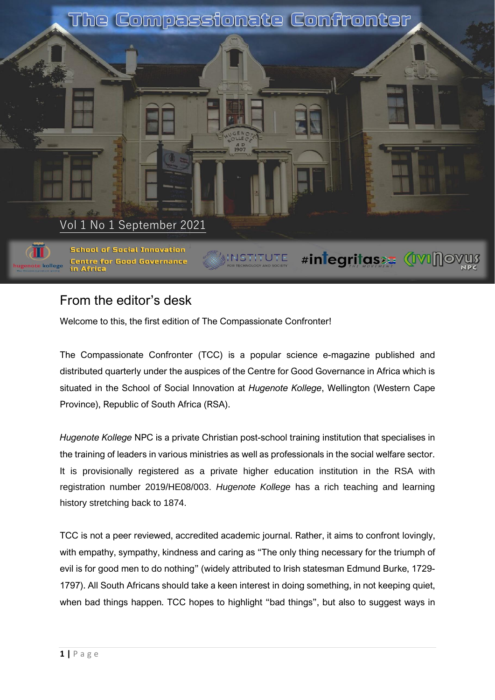

# From the editor's desk

Welcome to this, the first edition of The Compassionate Confronter!

The Compassionate Confronter (TCC) is a popular science e-magazine published and distributed quarterly under the auspices of the Centre for Good Governance in Africa which is situated in the School of Social Innovation at *Hugenote Kollege*, Wellington (Western Cape Province), Republic of South Africa (RSA).

*Hugenote Kollege* NPC is a private Christian post-school training institution that specialises in the training of leaders in various ministries as well as professionals in the social welfare sector. It is provisionally registered as a private higher education institution in the RSA with registration number 2019/HE08/003. *Hugenote Kollege* has a rich teaching and learning history stretching back to 1874.

TCC is not a peer reviewed, accredited academic journal. Rather, it aims to confront lovingly, with empathy, sympathy, kindness and caring as "The only thing necessary for the triumph of evil is for good men to do nothing" (widely attributed to Irish statesman Edmund Burke, 1729- 1797). All South Africans should take a keen interest in doing something, in not keeping quiet, when bad things happen. TCC hopes to highlight "bad things", but also to suggest ways in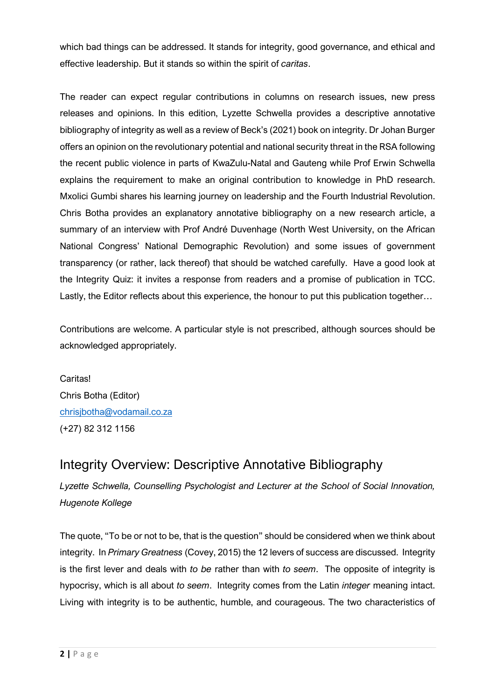which bad things can be addressed. It stands for integrity, good governance, and ethical and effective leadership. But it stands so within the spirit of *caritas*.

The reader can expect regular contributions in columns on research issues, new press releases and opinions. In this edition, Lyzette Schwella provides a descriptive annotative bibliography of integrity as well as a review of Beck's (2021) book on integrity. Dr Johan Burger offers an opinion on the revolutionary potential and national security threat in the RSA following the recent public violence in parts of KwaZulu-Natal and Gauteng while Prof Erwin Schwella explains the requirement to make an original contribution to knowledge in PhD research. Mxolici Gumbi shares his learning journey on leadership and the Fourth Industrial Revolution. Chris Botha provides an explanatory annotative bibliography on a new research article, a summary of an interview with Prof André Duvenhage (North West University, on the African National Congress' National Demographic Revolution) and some issues of government transparency (or rather, lack thereof) that should be watched carefully. Have a good look at the Integrity Quiz: it invites a response from readers and a promise of publication in TCC. Lastly, the Editor reflects about this experience, the honour to put this publication together…

Contributions are welcome. A particular style is not prescribed, although sources should be acknowledged appropriately.

Caritas! Chris Botha (Editor) [chrisjbotha@vodamail.co.za](mailto:chrisjbotha@vodamail.co.za) (+27) 82 312 1156

# Integrity Overview: Descriptive Annotative Bibliography

*Lyzette Schwella, Counselling Psychologist and Lecturer at the School of Social Innovation, Hugenote Kollege*

The quote, "To be or not to be, that is the question" should be considered when we think about integrity. In *Primary Greatness* (Covey, 2015) the 12 levers of success are discussed. Integrity is the first lever and deals with *to be* rather than with *to seem*. The opposite of integrity is hypocrisy, which is all about *to seem*. Integrity comes from the Latin *integer* meaning intact. Living with integrity is to be authentic, humble, and courageous. The two characteristics of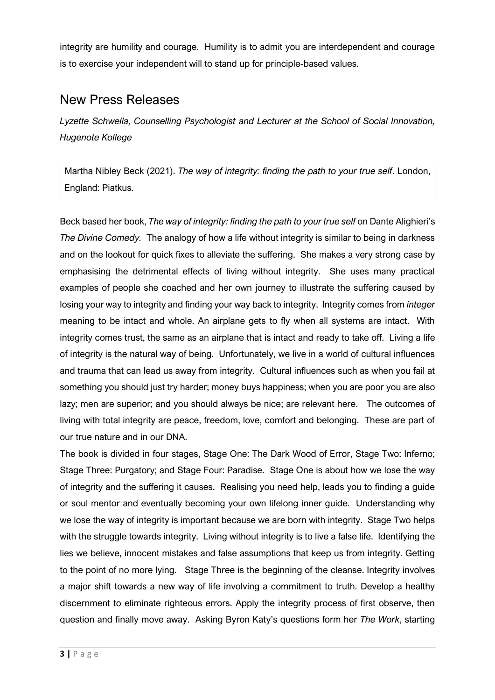integrity are humility and courage. Humility is to admit you are interdependent and courage is to exercise your independent will to stand up for principle-based values.

## New Press Releases

*Lyzette Schwella, Counselling Psychologist and Lecturer at the School of Social Innovation, Hugenote Kollege*

Martha Nibley Beck (2021). *The way of integrity: finding the path to your true self*. London, England: Piatkus.

Beck based her book, *The way of integrity: finding the path to your true self* on Dante Alighieri's *The Divine Comedy.* The analogy of how a life without integrity is similar to being in darkness and on the lookout for quick fixes to alleviate the suffering. She makes a very strong case by emphasising the detrimental effects of living without integrity. She uses many practical examples of people she coached and her own journey to illustrate the suffering caused by losing your way to integrity and finding your way back to integrity. Integrity comes from *integer* meaning to be intact and whole. An airplane gets to fly when all systems are intact. With integrity comes trust, the same as an airplane that is intact and ready to take off. Living a life of integrity is the natural way of being. Unfortunately, we live in a world of cultural influences and trauma that can lead us away from integrity. Cultural influences such as when you fail at something you should just try harder; money buys happiness; when you are poor you are also lazy; men are superior; and you should always be nice; are relevant here. The outcomes of living with total integrity are peace, freedom, love, comfort and belonging. These are part of our true nature and in our DNA.

The book is divided in four stages, Stage One: The Dark Wood of Error, Stage Two: Inferno; Stage Three: Purgatory; and Stage Four: Paradise. Stage One is about how we lose the way of integrity and the suffering it causes. Realising you need help, leads you to finding a guide or soul mentor and eventually becoming your own lifelong inner guide. Understanding why we lose the way of integrity is important because we are born with integrity. Stage Two helps with the struggle towards integrity. Living without integrity is to live a false life. Identifying the lies we believe, innocent mistakes and false assumptions that keep us from integrity. Getting to the point of no more lying. Stage Three is the beginning of the cleanse. Integrity involves a major shift towards a new way of life involving a commitment to truth. Develop a healthy discernment to eliminate righteous errors. Apply the integrity process of first observe, then question and finally move away. Asking Byron Katy's questions form her *The Work*, starting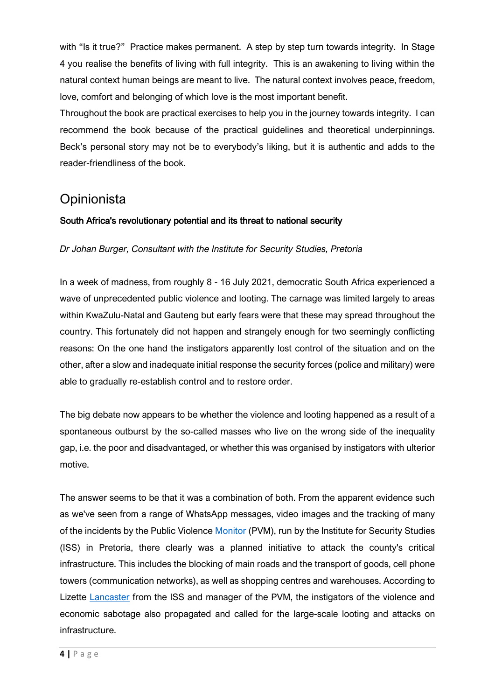with "Is it true?" Practice makes permanent. A step by step turn towards integrity. In Stage 4 you realise the benefits of living with full integrity. This is an awakening to living within the natural context human beings are meant to live. The natural context involves peace, freedom, love, comfort and belonging of which love is the most important benefit.

Throughout the book are practical exercises to help you in the journey towards integrity. I can recommend the book because of the practical guidelines and theoretical underpinnings. Beck's personal story may not be to everybody's liking, but it is authentic and adds to the reader-friendliness of the book.

## **Opinionista**

#### South Africa's revolutionary potential and its threat to national security

*Dr Johan Burger, Consultant with the Institute for Security Studies, Pretoria*

In a week of madness, from roughly 8 - 16 July 2021, democratic South Africa experienced a wave of unprecedented public violence and looting. The carnage was limited largely to areas within KwaZulu-Natal and Gauteng but early fears were that these may spread throughout the country. This fortunately did not happen and strangely enough for two seemingly conflicting reasons: On the one hand the instigators apparently lost control of the situation and on the other, after a slow and inadequate initial response the security forces (police and military) were able to gradually re-establish control and to restore order.

The big debate now appears to be whether the violence and looting happened as a result of a spontaneous outburst by the so-called masses who live on the wrong side of the inequality gap, i.e. the poor and disadvantaged, or whether this was organised by instigators with ulterior motive.

The answer seems to be that it was a combination of both. From the apparent evidence such as we've seen from a range of WhatsApp messages, video images and the tracking of many of the incidents by the Public Violence [Monitor](https://www.news24.com/news24/southafrica/investigations/anatomy-of-a-violent-july-data-mapping-shows-unrest-was-part-of-tactical-plan-to-shut-down-sa-20210806) (PVM), run by the Institute for Security Studies (ISS) in Pretoria, there clearly was a planned initiative to attack the county's critical infrastructure. This includes the blocking of main roads and the transport of goods, cell phone towers (communication networks), as well as shopping centres and warehouses. According to Lizette [Lancaster](https://www.news24.com/news24/southafrica/investigations/anatomy-of-a-violent-july-data-mapping-shows-unrest-was-part-of-tactical-plan-to-shut-down-sa-20210806) from the ISS and manager of the PVM, the instigators of the violence and economic sabotage also propagated and called for the large-scale looting and attacks on infrastructure.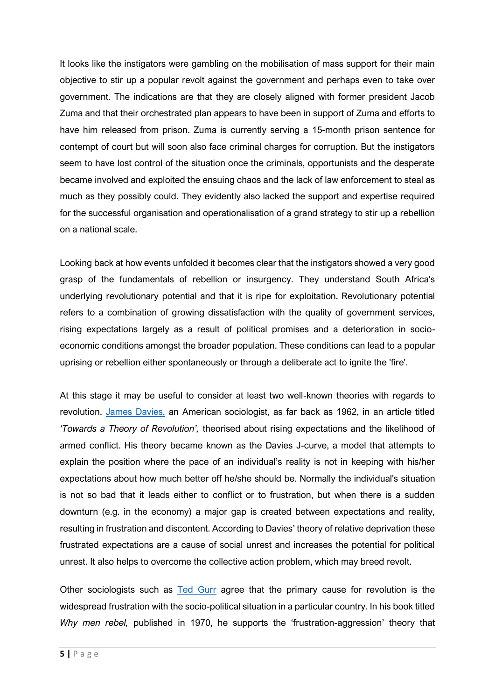It looks like the instigators were gambling on the mobilisation of mass support for their main objective to stir up a popular revolt against the government and perhaps even to take over government. The indications are that they are closely aligned with former president Jacob Zuma and that their orchestrated plan appears to have been in support of Zuma and efforts to have him released from prison. Zuma is currently serving a 15-month prison sentence for contempt of court but will soon also face criminal charges for corruption. But the instigators seem to have lost control of the situation once the criminals, opportunists and the desperate became involved and exploited the ensuing chaos and the lack of law enforcement to steal as much as they possibly could. They evidently also lacked the support and expertise required for the successful organisation and operationalisation of a grand strategy to stir up a rebellion on a national scale.

Looking back at how events unfolded it becomes clear that the instigators showed a very good grasp of the fundamentals of rebellion or insurgency. They understand South Africa's underlying revolutionary potential and that it is ripe for exploitation. Revolutionary potential refers to a combination of growing dissatisfaction with the quality of government services, rising expectations largely as a result of political promises and a deterioration in socioeconomic conditions amongst the broader population. These conditions can lead to a popular uprising or rebellion either spontaneously or through a deliberate act to ignite the 'fire'.

At this stage it may be useful to consider at least two well-known theories with regards to revolution. [James Davies,](https://www.britannica.com/topic/J-curve-hypothesis) an American sociologist, as far back as 1962, in an article titled *'Towards a Theory of Revolution',* theorised about rising expectations and the likelihood of armed conflict. His theory became known as the Davies J-curve, a model that attempts to explain the position where the pace of an individual's reality is not in keeping with his/her expectations about how much better off he/she should be. Normally the individual's situation is not so bad that it leads either to conflict or to frustration, but when there is a sudden downturn (e.g. in the economy) a major gap is created between expectations and reality, resulting in frustration and discontent. According to Davies' theory of relative deprivation these frustrated expectations are a cause of social unrest and increases the potential for political unrest. It also helps to overcome the collective action problem, which may breed revolt.

Other sociologists such as [Ted Gurr](https://www.e-ir.info/2011/11/17/why-men-rebel-redux-how-valid-are-its-arguments-40-years-on/) agree that the primary cause for revolution is the widespread frustration with the socio-political situation in a particular country. In his book titled *Why men rebel,* published in 1970, he supports the 'frustration-aggression' theory that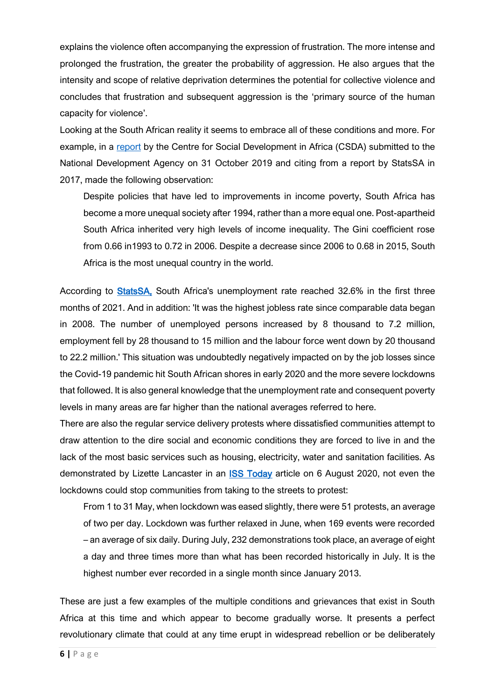explains the violence often accompanying the expression of frustration. The more intense and prolonged the frustration, the greater the probability of aggression. He also argues that the intensity and scope of relative deprivation determines the potential for collective violence and concludes that frustration and subsequent aggression is the 'primary source of the human capacity for violence'.

Looking at the South African reality it seems to embrace all of these conditions and more. For example, in a [report](https://www.google.co.za/search?q=Poverty%2C+inequality+and+social+exclusion+in+South+Africa%3A+a+systematic+assessment+of+key+policies%2C+strategies+and+flagship+programmes&source=hp&ei=t3gNYamOBJ2W1fAP-qiQ-Aw&iflsig=AINFCbYAAAAAYQ2Gx7xAgJWOWpNL6_jHZUYCbKQFnAnN&oq=Poverty%2C+inequality+and+social+exclusion+in+South+Africa%3A+a+systematic+assessment+of+key+policies%2C+strategies+and+flagship+programmes&gs_lcp=Cgdnd3Mtd2l6EANQtjxYtjxgoEtoAHAAeACAAQCIAQCSAQCYAQGgAQKgAQE&sclient=gws-wiz&ved=0ahUKEwjpxd35_JzyAhUdSxUIHXoUBM8Q4dUDCAY&uact=5) by the Centre for Social Development in Africa (CSDA) submitted to the National Development Agency on 31 October 2019 and citing from a report by StatsSA in 2017, made the following observation:

Despite policies that have led to improvements in income poverty, South Africa has become a more unequal society after 1994, rather than a more equal one. Post-apartheid South Africa inherited very high levels of income inequality. The Gini coefficient rose from 0.66 in1993 to 0.72 in 2006. Despite a decrease since 2006 to 0.68 in 2015, South Africa is the most unequal country in the world.

According to [StatsSA,](https://tradingeconomics.com/south-africa/unemployment-rate) South Africa's unemployment rate reached 32.6% in the first three months of 2021. And in addition: 'It was the highest jobless rate since comparable data began in 2008. The number of unemployed persons increased by 8 thousand to 7.2 million, employment fell by 28 thousand to 15 million and the labour force went down by 20 thousand to 22.2 million.' This situation was undoubtedly negatively impacted on by the job losses since the Covid-19 pandemic hit South African shores in early 2020 and the more severe lockdowns that followed. It is also general knowledge that the unemployment rate and consequent poverty levels in many areas are far higher than the national averages referred to here.

There are also the regular service delivery protests where dissatisfied communities attempt to draw attention to the dire social and economic conditions they are forced to live in and the lack of the most basic services such as housing, electricity, water and sanitation facilities. As demonstrated by Lizette Lancaster in an **ISS Today** article on 6 August 2020, not even the lockdowns could stop communities from taking to the streets to protest:

From 1 to 31 May, when lockdown was eased slightly, there were 51 protests, an average of two per day. Lockdown was further relaxed in June, when 169 events were recorded – an average of six daily. During July, 232 demonstrations took place, an average of eight a day and three times more than what has been recorded historically in July. It is the highest number ever recorded in a single month since January 2013.

These are just a few examples of the multiple conditions and grievances that exist in South Africa at this time and which appear to become gradually worse. It presents a perfect revolutionary climate that could at any time erupt in widespread rebellion or be deliberately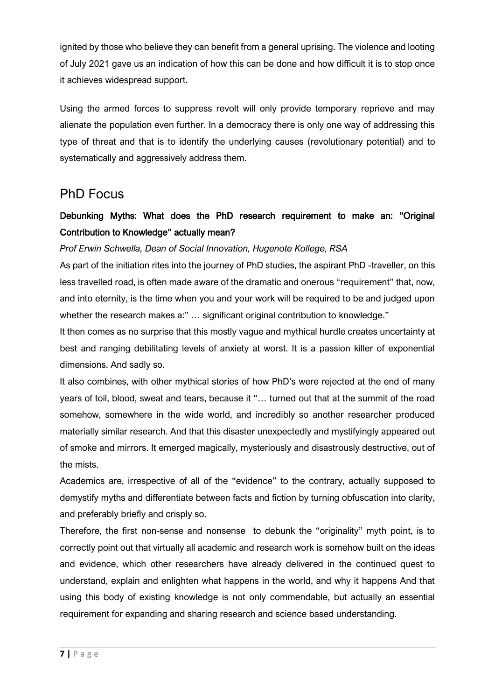ignited by those who believe they can benefit from a general uprising. The violence and looting of July 2021 gave us an indication of how this can be done and how difficult it is to stop once it achieves widespread support.

Using the armed forces to suppress revolt will only provide temporary reprieve and may alienate the population even further. In a democracy there is only one way of addressing this type of threat and that is to identify the underlying causes (revolutionary potential) and to systematically and aggressively address them.

## PhD Focus

## Debunking Myths: What does the PhD research requirement to make an: "Original Contribution to Knowledge" actually mean?

### *Prof Erwin Schwella, Dean of Social Innovation, Hugenote Kollege, RSA*

As part of the initiation rites into the journey of PhD studies, the aspirant PhD -traveller, on this less travelled road, is often made aware of the dramatic and onerous "requirement" that, now, and into eternity, is the time when you and your work will be required to be and judged upon whether the research makes a:" ... significant original contribution to knowledge."

It then comes as no surprise that this mostly vague and mythical hurdle creates uncertainty at best and ranging debilitating levels of anxiety at worst. It is a passion killer of exponential dimensions. And sadly so.

It also combines, with other mythical stories of how PhD's were rejected at the end of many years of toil, blood, sweat and tears, because it "… turned out that at the summit of the road somehow, somewhere in the wide world, and incredibly so another researcher produced materially similar research. And that this disaster unexpectedly and mystifyingly appeared out of smoke and mirrors. It emerged magically, mysteriously and disastrously destructive, out of the mists.

Academics are, irrespective of all of the "evidence" to the contrary, actually supposed to demystify myths and differentiate between facts and fiction by turning obfuscation into clarity, and preferably briefly and crisply so.

Therefore, the first non-sense and nonsense to debunk the "originality" myth point, is to correctly point out that virtually all academic and research work is somehow built on the ideas and evidence, which other researchers have already delivered in the continued quest to understand, explain and enlighten what happens in the world, and why it happens And that using this body of existing knowledge is not only commendable, but actually an essential requirement for expanding and sharing research and science based understanding.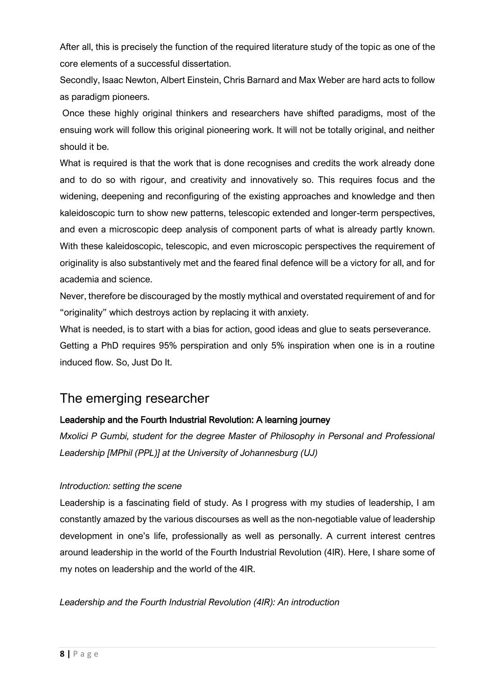After all, this is precisely the function of the required literature study of the topic as one of the core elements of a successful dissertation.

Secondly, Isaac Newton, Albert Einstein, Chris Barnard and Max Weber are hard acts to follow as paradigm pioneers.

Once these highly original thinkers and researchers have shifted paradigms, most of the ensuing work will follow this original pioneering work. It will not be totally original, and neither should it be.

What is required is that the work that is done recognises and credits the work already done and to do so with rigour, and creativity and innovatively so. This requires focus and the widening, deepening and reconfiguring of the existing approaches and knowledge and then kaleidoscopic turn to show new patterns, telescopic extended and longer-term perspectives, and even a microscopic deep analysis of component parts of what is already partly known. With these kaleidoscopic, telescopic, and even microscopic perspectives the requirement of originality is also substantively met and the feared final defence will be a victory for all, and for academia and science.

Never, therefore be discouraged by the mostly mythical and overstated requirement of and for "originality" which destroys action by replacing it with anxiety.

What is needed, is to start with a bias for action, good ideas and glue to seats perseverance.

Getting a PhD requires 95% perspiration and only 5% inspiration when one is in a routine induced flow. So, Just Do It.

# The emerging researcher

## Leadership and the Fourth Industrial Revolution: A learning journey

*Mxolici P Gumbi, student for the degree Master of Philosophy in Personal and Professional Leadership [MPhil (PPL)] at the University of Johannesburg (UJ)*

### *Introduction: setting the scene*

Leadership is a fascinating field of study. As I progress with my studies of leadership, I am constantly amazed by the various discourses as well as the non-negotiable value of leadership development in one's life, professionally as well as personally. A current interest centres around leadership in the world of the Fourth Industrial Revolution (4IR). Here, I share some of my notes on leadership and the world of the 4IR.

*Leadership and the Fourth Industrial Revolution (4IR): An introduction*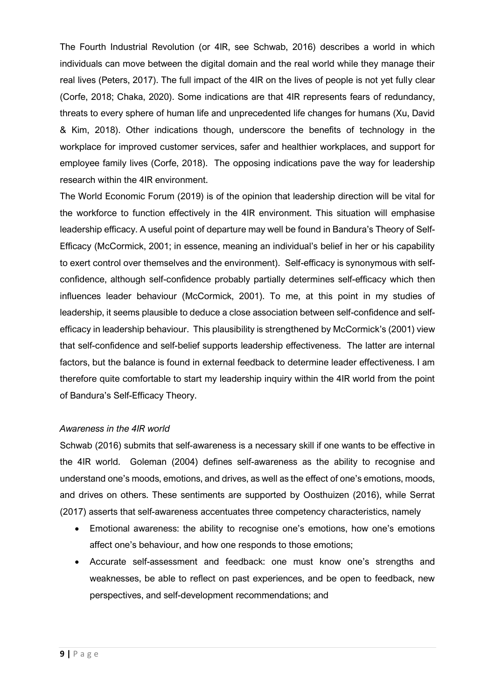The Fourth Industrial Revolution (or 4IR, see Schwab, 2016) describes a world in which individuals can move between the digital domain and the real world while they manage their real lives (Peters, 2017). The full impact of the 4IR on the lives of people is not yet fully clear (Corfe, 2018; Chaka, 2020). Some indications are that 4IR represents fears of redundancy, threats to every sphere of human life and unprecedented life changes for humans (Xu, David & Kim, 2018). Other indications though, underscore the benefits of technology in the workplace for improved customer services, safer and healthier workplaces, and support for employee family lives (Corfe, 2018). The opposing indications pave the way for leadership research within the 4IR environment.

The World Economic Forum (2019) is of the opinion that leadership direction will be vital for the workforce to function effectively in the 4IR environment. This situation will emphasise leadership efficacy. A useful point of departure may well be found in Bandura's Theory of Self-Efficacy (McCormick, 2001; in essence, meaning an individual's belief in her or his capability to exert control over themselves and the environment). Self-efficacy is synonymous with selfconfidence, although self-confidence probably partially determines self-efficacy which then influences leader behaviour (McCormick, 2001). To me, at this point in my studies of leadership, it seems plausible to deduce a close association between self-confidence and selfefficacy in leadership behaviour. This plausibility is strengthened by McCormick's (2001) view that self-confidence and self-belief supports leadership effectiveness. The latter are internal factors, but the balance is found in external feedback to determine leader effectiveness. I am therefore quite comfortable to start my leadership inquiry within the 4IR world from the point of Bandura's Self-Efficacy Theory.

#### *Awareness in the 4IR world*

Schwab (2016) submits that self-awareness is a necessary skill if one wants to be effective in the 4IR world. Goleman (2004) defines self-awareness as the ability to recognise and understand one's moods, emotions, and drives, as well as the effect of one's emotions, moods, and drives on others. These sentiments are supported by Oosthuizen (2016), while Serrat (2017) asserts that self-awareness accentuates three competency characteristics, namely

- Emotional awareness: the ability to recognise one's emotions, how one's emotions affect one's behaviour, and how one responds to those emotions;
- Accurate self-assessment and feedback: one must know one's strengths and weaknesses, be able to reflect on past experiences, and be open to feedback, new perspectives, and self-development recommendations; and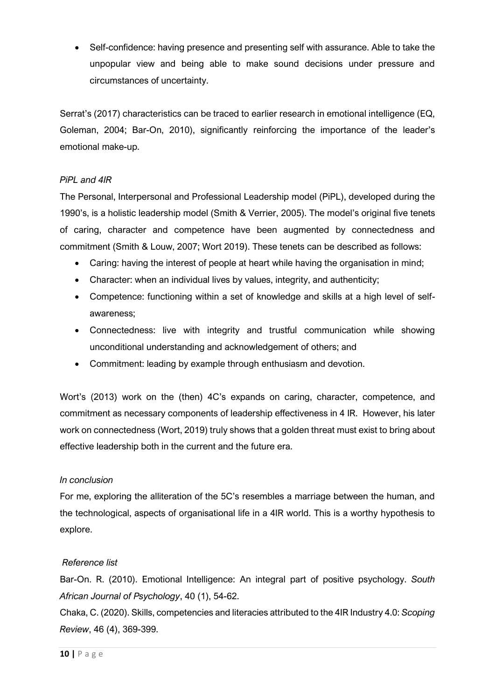• Self-confidence: having presence and presenting self with assurance. Able to take the unpopular view and being able to make sound decisions under pressure and circumstances of uncertainty.

Serrat's (2017) characteristics can be traced to earlier research in emotional intelligence (EQ, Goleman, 2004; Bar-On, 2010), significantly reinforcing the importance of the leader's emotional make-up.

## *PiPL and 4IR*

The Personal, Interpersonal and Professional Leadership model (PiPL), developed during the 1990's, is a holistic leadership model (Smith & Verrier, 2005). The model's original five tenets of caring, character and competence have been augmented by connectedness and commitment (Smith & Louw, 2007; Wort 2019). These tenets can be described as follows:

- Caring: having the interest of people at heart while having the organisation in mind;
- Character: when an individual lives by values, integrity, and authenticity;
- Competence: functioning within a set of knowledge and skills at a high level of selfawareness;
- Connectedness: live with integrity and trustful communication while showing unconditional understanding and acknowledgement of others; and
- Commitment: leading by example through enthusiasm and devotion.

Wort's (2013) work on the (then) 4C's expands on caring, character, competence, and commitment as necessary components of leadership effectiveness in 4 IR. However, his later work on connectedness (Wort, 2019) truly shows that a golden threat must exist to bring about effective leadership both in the current and the future era.

### *In conclusion*

For me, exploring the alliteration of the 5C's resembles a marriage between the human, and the technological, aspects of organisational life in a 4IR world. This is a worthy hypothesis to explore.

#### *Reference list*

Bar-On. R. (2010). Emotional Intelligence: An integral part of positive psychology. *South African Journal of Psychology*, 40 (1), 54-62.

Chaka, C. (2020). Skills, competencies and literacies attributed to the 4IR Industry 4.0: *Scoping Review*, 46 (4), 369-399.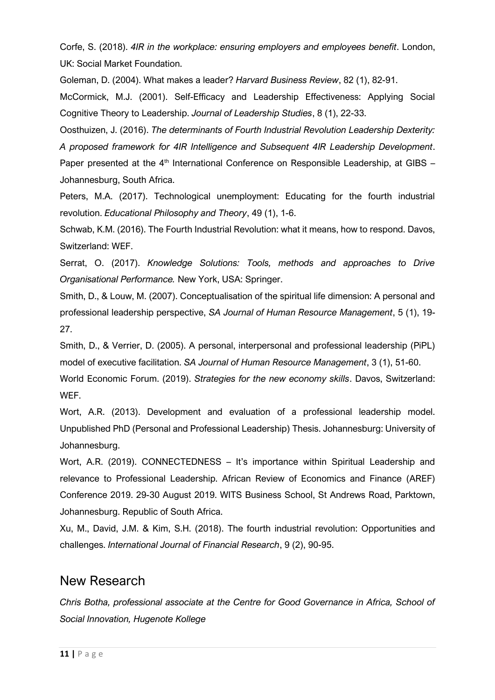Corfe, S. (2018). *4IR in the workplace: ensuring employers and employees benefit*. London, UK: Social Market Foundation.

Goleman, D. (2004). What makes a leader? *Harvard Business Review*, 82 (1), 82-91.

McCormick, M.J. (2001). Self-Efficacy and Leadership Effectiveness: Applying Social Cognitive Theory to Leadership. *Journal of Leadership Studies*, 8 (1), 22-33.

Oosthuizen, J. (2016). *The determinants of Fourth Industrial Revolution Leadership Dexterity: A proposed framework for 4IR Intelligence and Subsequent 4IR Leadership Development*. Paper presented at the  $4<sup>th</sup>$  International Conference on Responsible Leadership, at GIBS – Johannesburg, South Africa.

Peters, M.A. (2017). Technological unemployment: Educating for the fourth industrial revolution. *Educational Philosophy and Theory*, 49 (1), 1-6.

Schwab, K.M. (2016). The Fourth Industrial Revolution: what it means, how to respond. Davos, Switzerland: WEF.

Serrat, O. (2017). *Knowledge Solutions: Tools, methods and approaches to Drive Organisational Performance.* New York, USA: Springer.

Smith, D., & Louw, M. (2007). Conceptualisation of the spiritual life dimension: A personal and professional leadership perspective, *SA Journal of Human Resource Management*, 5 (1), 19- 27.

Smith, D., & Verrier, D. (2005). A personal, interpersonal and professional leadership (PiPL) model of executive facilitation. *SA Journal of Human Resource Management*, 3 (1), 51-60.

World Economic Forum. (2019). *Strategies for the new economy skills*. Davos, Switzerland: WEF.

Wort, A.R. (2013). Development and evaluation of a professional leadership model. Unpublished PhD (Personal and Professional Leadership) Thesis. Johannesburg: University of Johannesburg.

Wort, A.R. (2019). CONNECTEDNESS – It's importance within Spiritual Leadership and relevance to Professional Leadership. African Review of Economics and Finance (AREF) Conference 2019. 29-30 August 2019. WITS Business School, St Andrews Road, Parktown, Johannesburg. Republic of South Africa.

Xu, M., David, J.M. & Kim, S.H. (2018). The fourth industrial revolution: Opportunities and challenges. *International Journal of Financial Research*, 9 (2), 90-95.

## New Research

*Chris Botha, professional associate at the Centre for Good Governance in Africa, School of Social Innovation, Hugenote Kollege*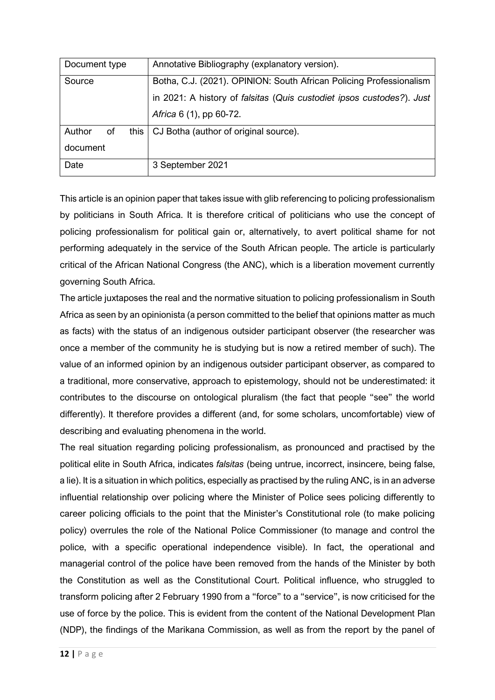| Document type        | Annotative Bibliography (explanatory version).                        |
|----------------------|-----------------------------------------------------------------------|
| Source               | Botha, C.J. (2021). OPINION: South African Policing Professionalism   |
|                      | in 2021: A history of falsitas (Quis custodiet ipsos custodes?). Just |
|                      | Africa 6 (1), pp 60-72.                                               |
| Author<br>of<br>this | CJ Botha (author of original source).                                 |
| document             |                                                                       |
| Date                 | 3 September 2021                                                      |

This article is an opinion paper that takes issue with glib referencing to policing professionalism by politicians in South Africa. It is therefore critical of politicians who use the concept of policing professionalism for political gain or, alternatively, to avert political shame for not performing adequately in the service of the South African people. The article is particularly critical of the African National Congress (the ANC), which is a liberation movement currently governing South Africa.

The article juxtaposes the real and the normative situation to policing professionalism in South Africa as seen by an opinionista (a person committed to the belief that opinions matter as much as facts) with the status of an indigenous outsider participant observer (the researcher was once a member of the community he is studying but is now a retired member of such). The value of an informed opinion by an indigenous outsider participant observer, as compared to a traditional, more conservative, approach to epistemology, should not be underestimated: it contributes to the discourse on ontological pluralism (the fact that people "see" the world differently). It therefore provides a different (and, for some scholars, uncomfortable) view of describing and evaluating phenomena in the world.

The real situation regarding policing professionalism, as pronounced and practised by the political elite in South Africa, indicates *falsitas* (being untrue, incorrect, insincere, being false, a lie). It is a situation in which politics, especially as practised by the ruling ANC, is in an adverse influential relationship over policing where the Minister of Police sees policing differently to career policing officials to the point that the Minister's Constitutional role (to make policing policy) overrules the role of the National Police Commissioner (to manage and control the police, with a specific operational independence visible). In fact, the operational and managerial control of the police have been removed from the hands of the Minister by both the Constitution as well as the Constitutional Court. Political influence, who struggled to transform policing after 2 February 1990 from a "force" to a "service", is now criticised for the use of force by the police. This is evident from the content of the National Development Plan (NDP), the findings of the Marikana Commission, as well as from the report by the panel of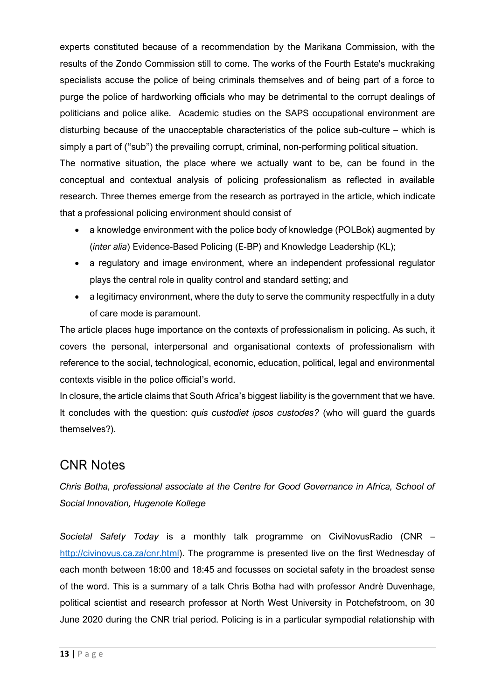experts constituted because of a recommendation by the Marikana Commission, with the results of the Zondo Commission still to come. The works of the Fourth Estate's muckraking specialists accuse the police of being criminals themselves and of being part of a force to purge the police of hardworking officials who may be detrimental to the corrupt dealings of politicians and police alike. Academic studies on the SAPS occupational environment are disturbing because of the unacceptable characteristics of the police sub-culture – which is simply a part of ("sub") the prevailing corrupt, criminal, non-performing political situation.

The normative situation, the place where we actually want to be, can be found in the conceptual and contextual analysis of policing professionalism as reflected in available research. Three themes emerge from the research as portrayed in the article, which indicate that a professional policing environment should consist of

- a knowledge environment with the police body of knowledge (POLBok) augmented by (*inter alia*) Evidence-Based Policing (E-BP) and Knowledge Leadership (KL);
- a regulatory and image environment, where an independent professional regulator plays the central role in quality control and standard setting; and
- a legitimacy environment, where the duty to serve the community respectfully in a duty of care mode is paramount.

The article places huge importance on the contexts of professionalism in policing. As such, it covers the personal, interpersonal and organisational contexts of professionalism with reference to the social, technological, economic, education, political, legal and environmental contexts visible in the police official's world.

In closure, the article claims that South Africa's biggest liability is the government that we have. It concludes with the question: *quis custodiet ipsos custodes?* (who will guard the guards themselves?).

# CNR Notes

*Chris Botha, professional associate at the Centre for Good Governance in Africa, School of Social Innovation, Hugenote Kollege*

*Societal Safety Today* is a monthly talk programme on CiviNovusRadio (CNR – [http://civinovus.ca.za/cnr.html\)](http://civinovus.ca.za/cnr.html). The programme is presented live on the first Wednesday of each month between 18:00 and 18:45 and focusses on societal safety in the broadest sense of the word. This is a summary of a talk Chris Botha had with professor Andrè Duvenhage, political scientist and research professor at North West University in Potchefstroom, on 30 June 2020 during the CNR trial period. Policing is in a particular sympodial relationship with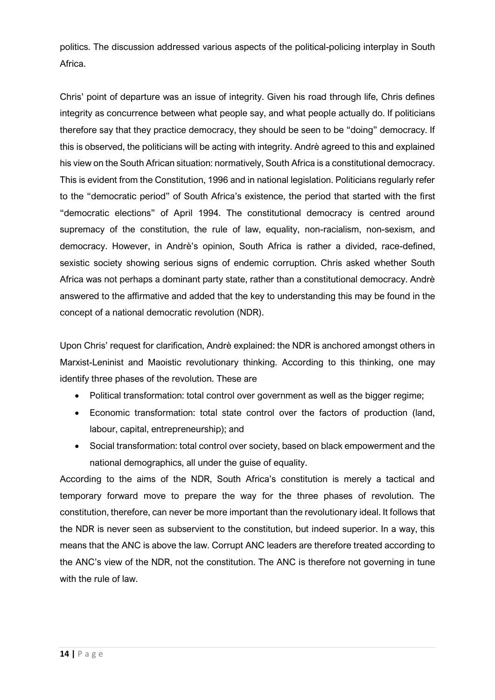politics. The discussion addressed various aspects of the political-policing interplay in South Africa.

Chris' point of departure was an issue of integrity. Given his road through life, Chris defines integrity as concurrence between what people say, and what people actually do. If politicians therefore say that they practice democracy, they should be seen to be "doing" democracy. If this is observed, the politicians will be acting with integrity. Andrè agreed to this and explained his view on the South African situation: normatively, South Africa is a constitutional democracy. This is evident from the Constitution, 1996 and in national legislation. Politicians regularly refer to the "democratic period" of South Africa's existence, the period that started with the first "democratic elections" of April 1994. The constitutional democracy is centred around supremacy of the constitution, the rule of law, equality, non-racialism, non-sexism, and democracy. However, in Andrè's opinion, South Africa is rather a divided, race-defined, sexistic society showing serious signs of endemic corruption. Chris asked whether South Africa was not perhaps a dominant party state, rather than a constitutional democracy. Andrè answered to the affirmative and added that the key to understanding this may be found in the concept of a national democratic revolution (NDR).

Upon Chris' request for clarification, Andrè explained: the NDR is anchored amongst others in Marxist-Leninist and Maoistic revolutionary thinking. According to this thinking, one may identify three phases of the revolution. These are

- Political transformation: total control over government as well as the bigger regime;
- Economic transformation: total state control over the factors of production (land, labour, capital, entrepreneurship); and
- Social transformation: total control over society, based on black empowerment and the national demographics, all under the guise of equality.

According to the aims of the NDR, South Africa's constitution is merely a tactical and temporary forward move to prepare the way for the three phases of revolution. The constitution, therefore, can never be more important than the revolutionary ideal. It follows that the NDR is never seen as subservient to the constitution, but indeed superior. In a way, this means that the ANC is above the law. Corrupt ANC leaders are therefore treated according to the ANC's view of the NDR, not the constitution. The ANC is therefore not governing in tune with the rule of law.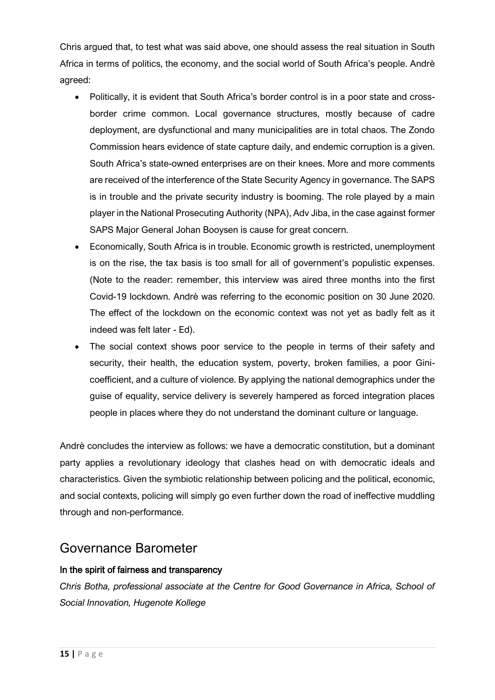Chris argued that, to test what was said above, one should assess the real situation in South Africa in terms of politics, the economy, and the social world of South Africa's people. Andrè agreed:

- Politically, it is evident that South Africa's border control is in a poor state and crossborder crime common. Local governance structures, mostly because of cadre deployment, are dysfunctional and many municipalities are in total chaos. The Zondo Commission hears evidence of state capture daily, and endemic corruption is a given. South Africa's state-owned enterprises are on their knees. More and more comments are received of the interference of the State Security Agency in governance. The SAPS is in trouble and the private security industry is booming. The role played by a main player in the National Prosecuting Authority (NPA), Adv Jiba, in the case against former SAPS Major General Johan Booysen is cause for great concern.
- Economically, South Africa is in trouble. Economic growth is restricted, unemployment is on the rise, the tax basis is too small for all of government's populistic expenses. (Note to the reader: remember, this interview was aired three months into the first Covid-19 lockdown. Andrѐ was referring to the economic position on 30 June 2020. The effect of the lockdown on the economic context was not yet as badly felt as it indeed was felt later - Ed).
- The social context shows poor service to the people in terms of their safety and security, their health, the education system, poverty, broken families, a poor Ginicoefficient, and a culture of violence. By applying the national demographics under the guise of equality, service delivery is severely hampered as forced integration places people in places where they do not understand the dominant culture or language.

Andrѐ concludes the interview as follows: we have a democratic constitution, but a dominant party applies a revolutionary ideology that clashes head on with democratic ideals and characteristics. Given the symbiotic relationship between policing and the political, economic, and social contexts, policing will simply go even further down the road of ineffective muddling through and non-performance.

# Governance Barometer

### In the spirit of fairness and transparency

*Chris Botha, professional associate at the Centre for Good Governance in Africa, School of Social Innovation, Hugenote Kollege*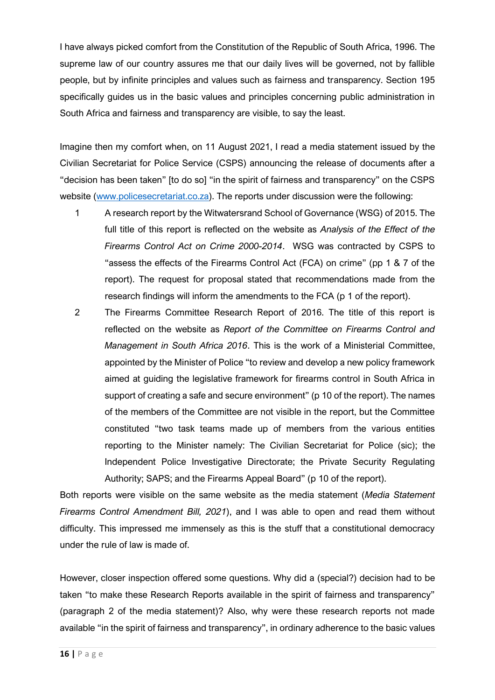I have always picked comfort from the Constitution of the Republic of South Africa, 1996. The supreme law of our country assures me that our daily lives will be governed, not by fallible people, but by infinite principles and values such as fairness and transparency. Section 195 specifically guides us in the basic values and principles concerning public administration in South Africa and fairness and transparency are visible, to say the least.

Imagine then my comfort when, on 11 August 2021, I read a media statement issued by the Civilian Secretariat for Police Service (CSPS) announcing the release of documents after a "decision has been taken" [to do so] "in the spirit of fairness and transparency" on the CSPS website [\(www.policesecretariat.co.za\)](http://www.policesecretariat.co.za/). The reports under discussion were the following:

- 1 A research report by the Witwatersrand School of Governance (WSG) of 2015. The full title of this report is reflected on the website as *Analysis of the Effect of the Firearms Control Act on Crime 2000-2014*. WSG was contracted by CSPS to "assess the effects of the Firearms Control Act (FCA) on crime" (pp 1 & 7 of the report). The request for proposal stated that recommendations made from the research findings will inform the amendments to the FCA (p 1 of the report).
- 2 The Firearms Committee Research Report of 2016. The title of this report is reflected on the website as *Report of the Committee on Firearms Control and Management in South Africa 2016*. This is the work of a Ministerial Committee, appointed by the Minister of Police "to review and develop a new policy framework aimed at guiding the legislative framework for firearms control in South Africa in support of creating a safe and secure environment" (p 10 of the report). The names of the members of the Committee are not visible in the report, but the Committee constituted "two task teams made up of members from the various entities reporting to the Minister namely: The Civilian Secretariat for Police (sic); the Independent Police Investigative Directorate; the Private Security Regulating Authority; SAPS; and the Firearms Appeal Board" (p 10 of the report).

Both reports were visible on the same website as the media statement (*Media Statement Firearms Control Amendment Bill, 2021*), and I was able to open and read them without difficulty. This impressed me immensely as this is the stuff that a constitutional democracy under the rule of law is made of.

However, closer inspection offered some questions. Why did a (special?) decision had to be taken "to make these Research Reports available in the spirit of fairness and transparency" (paragraph 2 of the media statement)? Also, why were these research reports not made available "in the spirit of fairness and transparency", in ordinary adherence to the basic values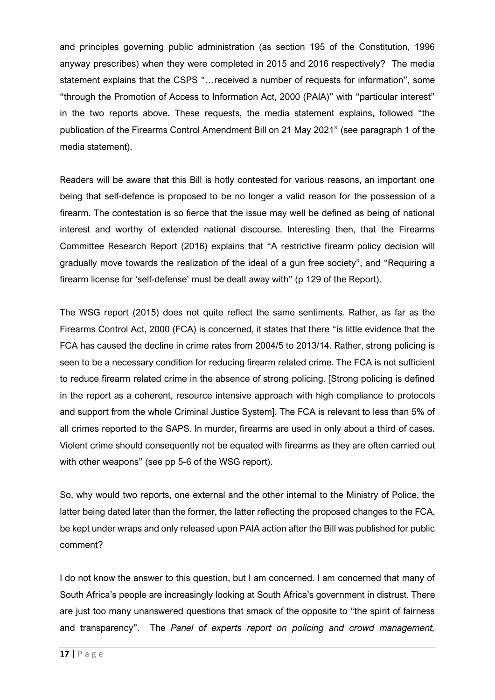and principles governing public administration (as section 195 of the Constitution, 1996 anyway prescribes) when they were completed in 2015 and 2016 respectively? The media statement explains that the CSPS "…received a number of requests for information", some "through the Promotion of Access to Information Act, 2000 (PAIA)" with "particular interest" in the two reports above. These requests, the media statement explains, followed "the publication of the Firearms Control Amendment Bill on 21 May 2021" (see paragraph 1 of the media statement).

Readers will be aware that this Bill is hotly contested for various reasons, an important one being that self-defence is proposed to be no longer a valid reason for the possession of a firearm. The contestation is so fierce that the issue may well be defined as being of national interest and worthy of extended national discourse. Interesting then, that the Firearms Committee Research Report (2016) explains that "A restrictive firearm policy decision will gradually move towards the realization of the ideal of a gun free society", and "Requiring a firearm license for 'self-defense' must be dealt away with" (p 129 of the Report).

The WSG report (2015) does not quite reflect the same sentiments. Rather, as far as the Firearms Control Act, 2000 (FCA) is concerned, it states that there "is little evidence that the FCA has caused the decline in crime rates from 2004/5 to 2013/14. Rather, strong policing is seen to be a necessary condition for reducing firearm related crime. The FCA is not sufficient to reduce firearm related crime in the absence of strong policing. [Strong policing is defined in the report as a coherent, resource intensive approach with high compliance to protocols and support from the whole Criminal Justice System]. The FCA is relevant to less than 5% of all crimes reported to the SAPS. In murder, firearms are used in only about a third of cases. Violent crime should consequently not be equated with firearms as they are often carried out with other weapons" (see pp 5-6 of the WSG report).

So, why would two reports, one external and the other internal to the Ministry of Police, the latter being dated later than the former, the latter reflecting the proposed changes to the FCA, be kept under wraps and only released upon PAIA action after the Bill was published for public comment?

I do not know the answer to this question, but I am concerned. I am concerned that many of South Africa's people are increasingly looking at South Africa's government in distrust. There are just too many unanswered questions that smack of the opposite to "the spirit of fairness and transparency". The *Panel of experts report on policing and crowd management,*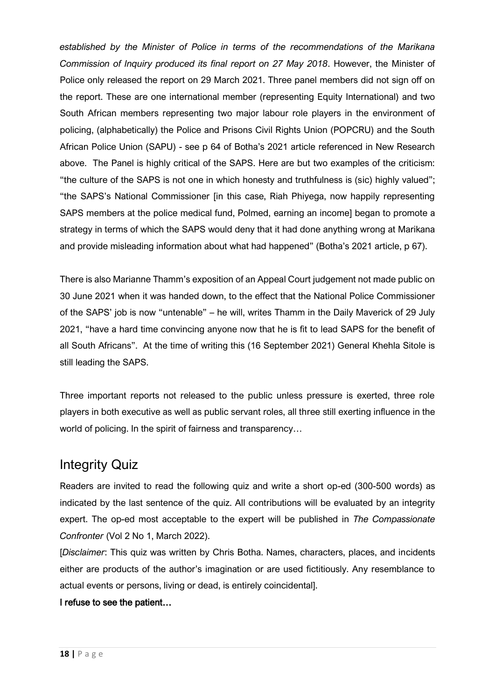*established by the Minister of Police in terms of the recommendations of the Marikana Commission of Inquiry produced its final report on 27 May 2018*. However, the Minister of Police only released the report on 29 March 2021. Three panel members did not sign off on the report. These are one international member (representing Equity International) and two South African members representing two major labour role players in the environment of policing, (alphabetically) the Police and Prisons Civil Rights Union (POPCRU) and the South African Police Union (SAPU) - see p 64 of Botha's 2021 article referenced in New Research above. The Panel is highly critical of the SAPS. Here are but two examples of the criticism: "the culture of the SAPS is not one in which honesty and truthfulness is (sic) highly valued"; "the SAPS's National Commissioner [in this case, Riah Phiyega, now happily representing SAPS members at the police medical fund, Polmed, earning an income] began to promote a strategy in terms of which the SAPS would deny that it had done anything wrong at Marikana and provide misleading information about what had happened" (Botha's 2021 article, p 67).

There is also Marianne Thamm's exposition of an Appeal Court judgement not made public on 30 June 2021 when it was handed down, to the effect that the National Police Commissioner of the SAPS' job is now "untenable" – he will, writes Thamm in the Daily Maverick of 29 July 2021, "have a hard time convincing anyone now that he is fit to lead SAPS for the benefit of all South Africans". At the time of writing this (16 September 2021) General Khehla Sitole is still leading the SAPS.

Three important reports not released to the public unless pressure is exerted, three role players in both executive as well as public servant roles, all three still exerting influence in the world of policing. In the spirit of fairness and transparency…

# Integrity Quiz

Readers are invited to read the following quiz and write a short op-ed (300-500 words) as indicated by the last sentence of the quiz. All contributions will be evaluated by an integrity expert. The op-ed most acceptable to the expert will be published in *The Compassionate Confronter* (Vol 2 No 1, March 2022).

[*Disclaimer*: This quiz was written by Chris Botha. Names, characters, places, and incidents either are products of the author's imagination or are used fictitiously. Any resemblance to actual events or persons, living or dead, is entirely coincidental].

### I refuse to see the patient…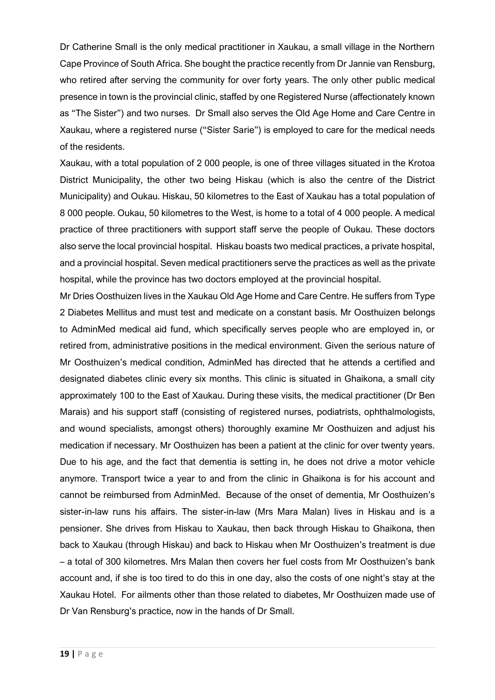Dr Catherine Small is the only medical practitioner in Xaukau, a small village in the Northern Cape Province of South Africa. She bought the practice recently from Dr Jannie van Rensburg, who retired after serving the community for over forty years. The only other public medical presence in town is the provincial clinic, staffed by one Registered Nurse (affectionately known as "The Sister") and two nurses. Dr Small also serves the Old Age Home and Care Centre in Xaukau, where a registered nurse ("Sister Sarie") is employed to care for the medical needs of the residents.

Xaukau, with a total population of 2 000 people, is one of three villages situated in the Krotoa District Municipality, the other two being Hiskau (which is also the centre of the District Municipality) and Oukau. Hiskau, 50 kilometres to the East of Xaukau has a total population of 8 000 people. Oukau, 50 kilometres to the West, is home to a total of 4 000 people. A medical practice of three practitioners with support staff serve the people of Oukau. These doctors also serve the local provincial hospital. Hiskau boasts two medical practices, a private hospital, and a provincial hospital. Seven medical practitioners serve the practices as well as the private hospital, while the province has two doctors employed at the provincial hospital.

Mr Dries Oosthuizen lives in the Xaukau Old Age Home and Care Centre. He suffers from Type 2 Diabetes Mellitus and must test and medicate on a constant basis. Mr Oosthuizen belongs to AdminMed medical aid fund, which specifically serves people who are employed in, or retired from, administrative positions in the medical environment. Given the serious nature of Mr Oosthuizen's medical condition, AdminMed has directed that he attends a certified and designated diabetes clinic every six months. This clinic is situated in Ghaikona, a small city approximately 100 to the East of Xaukau. During these visits, the medical practitioner (Dr Ben Marais) and his support staff (consisting of registered nurses, podiatrists, ophthalmologists, and wound specialists, amongst others) thoroughly examine Mr Oosthuizen and adjust his medication if necessary. Mr Oosthuizen has been a patient at the clinic for over twenty years. Due to his age, and the fact that dementia is setting in, he does not drive a motor vehicle anymore. Transport twice a year to and from the clinic in Ghaikona is for his account and cannot be reimbursed from AdminMed. Because of the onset of dementia, Mr Oosthuizen's sister-in-law runs his affairs. The sister-in-law (Mrs Mara Malan) lives in Hiskau and is a pensioner. She drives from Hiskau to Xaukau, then back through Hiskau to Ghaikona, then back to Xaukau (through Hiskau) and back to Hiskau when Mr Oosthuizen's treatment is due – a total of 300 kilometres. Mrs Malan then covers her fuel costs from Mr Oosthuizen's bank account and, if she is too tired to do this in one day, also the costs of one night's stay at the Xaukau Hotel. For ailments other than those related to diabetes, Mr Oosthuizen made use of Dr Van Rensburg's practice, now in the hands of Dr Small.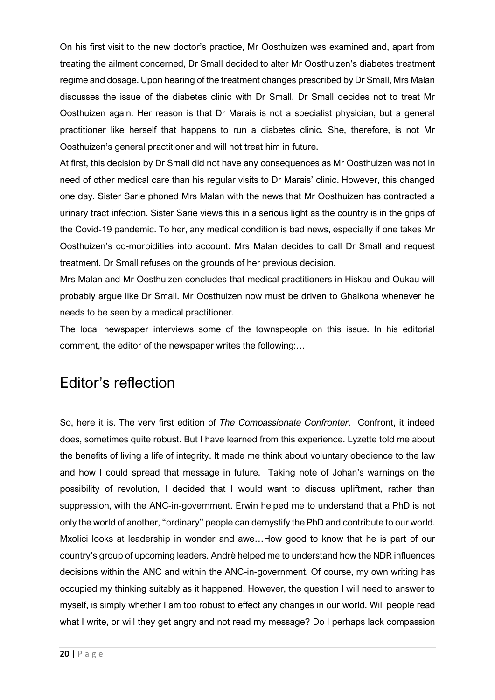On his first visit to the new doctor's practice, Mr Oosthuizen was examined and, apart from treating the ailment concerned, Dr Small decided to alter Mr Oosthuizen's diabetes treatment regime and dosage. Upon hearing of the treatment changes prescribed by Dr Small, Mrs Malan discusses the issue of the diabetes clinic with Dr Small. Dr Small decides not to treat Mr Oosthuizen again. Her reason is that Dr Marais is not a specialist physician, but a general practitioner like herself that happens to run a diabetes clinic. She, therefore, is not Mr Oosthuizen's general practitioner and will not treat him in future.

At first, this decision by Dr Small did not have any consequences as Mr Oosthuizen was not in need of other medical care than his regular visits to Dr Marais' clinic. However, this changed one day. Sister Sarie phoned Mrs Malan with the news that Mr Oosthuizen has contracted a urinary tract infection. Sister Sarie views this in a serious light as the country is in the grips of the Covid-19 pandemic. To her, any medical condition is bad news, especially if one takes Mr Oosthuizen's co-morbidities into account. Mrs Malan decides to call Dr Small and request treatment. Dr Small refuses on the grounds of her previous decision.

Mrs Malan and Mr Oosthuizen concludes that medical practitioners in Hiskau and Oukau will probably argue like Dr Small. Mr Oosthuizen now must be driven to Ghaikona whenever he needs to be seen by a medical practitioner.

The local newspaper interviews some of the townspeople on this issue. In his editorial comment, the editor of the newspaper writes the following:…

# Editor's reflection

So, here it is. The very first edition of *The Compassionate Confronter*. Confront, it indeed does, sometimes quite robust. But I have learned from this experience. Lyzette told me about the benefits of living a life of integrity. It made me think about voluntary obedience to the law and how I could spread that message in future. Taking note of Johan's warnings on the possibility of revolution, I decided that I would want to discuss upliftment, rather than suppression, with the ANC-in-government. Erwin helped me to understand that a PhD is not only the world of another, "ordinary" people can demystify the PhD and contribute to our world. Mxolici looks at leadership in wonder and awe…How good to know that he is part of our country's group of upcoming leaders. Andrѐ helped me to understand how the NDR influences decisions within the ANC and within the ANC-in-government. Of course, my own writing has occupied my thinking suitably as it happened. However, the question I will need to answer to myself, is simply whether I am too robust to effect any changes in our world. Will people read what I write, or will they get angry and not read my message? Do I perhaps lack compassion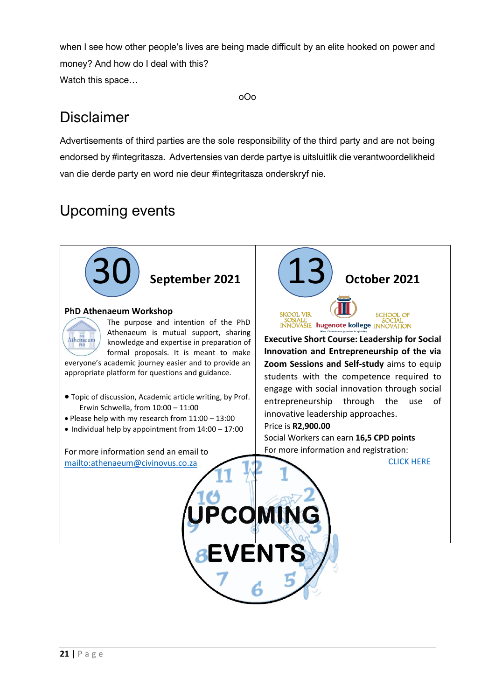when I see how other people's lives are being made difficult by an elite hooked on power and money? And how do I deal with this? Watch this space…

#### oOo

# Disclaimer

Advertisements of third parties are the sole responsibility of the third party and are not being endorsed by #integritasza. Advertensies van derde partye is uitsluitlik die verantwoordelikheid van die derde party en word nie deur #integritasza onderskryf nie.

# Upcoming events

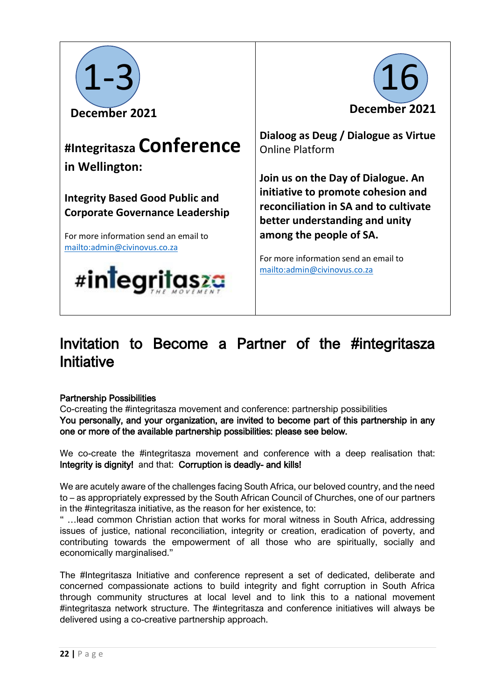

# **#Integritasza Conference in Wellington:**

**Integrity Based Good Public and Corporate Governance Leadership**

For more information send an email to <mailto:admin@civinovus.co.za>





**Dialoog as Deug / Dialogue as Virtue**  Online Platform

**Join us on the Day of Dialogue. An initiative to promote cohesion and reconciliation in SA and to cultivate better understanding and unity among the people of SA.**

For more information send an email to <mailto:admin@civinovus.co.za>

# Invitation to Become a Partner of the #integritasza Initiative

### Partnership Possibilities

Co-creating the #integritasza movement and conference: partnership possibilities You personally, and your organization, are invited to become part of this partnership in any one or more of the available partnership possibilities: please see below.

We co-create the #integritasza movement and conference with a deep realisation that: Integrity is dignity! and that: Corruption is deadly- and kills!

We are acutely aware of the challenges facing South Africa, our beloved country, and the need to – as appropriately expressed by the South African Council of Churches, one of our partners in the #integritasza initiative, as the reason for her existence, to:

" …lead common Christian action that works for moral witness in South Africa, addressing issues of justice, national reconciliation, integrity or creation, eradication of poverty, and contributing towards the empowerment of all those who are spiritually, socially and economically marginalised."

The #Integritasza Initiative and conference represent a set of dedicated, deliberate and concerned compassionate actions to build integrity and fight corruption in South Africa through community structures at local level and to link this to a national movement #integritasza network structure. The #integritasza and conference initiatives will always be delivered using a co-creative partnership approach.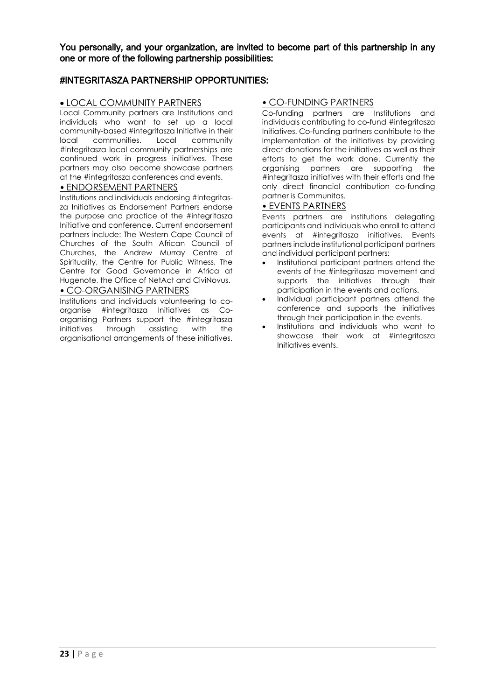You personally, and your organization, are invited to become part of this partnership in any one or more of the following partnership possibilities:

#### #INTEGRITASZA PARTNERSHIP OPPORTUNITIES:

#### • LOCAL COMMUNITY PARTNERS

Local Community partners are Institutions and individuals who want to set up a local community-based #integritasza Initiative in their local communities. Local community #integritasza local community partnerships are continued work in progress initiatives. These partners may also become showcase partners at the #integritasza conferences and events.

#### • ENDORSEMENT PARTNERS

Institutions and individuals endorsing #integritasza Initiatives as Endorsement Partners endorse the purpose and practice of the #integritasza Initiative and conference. Current endorsement partners include: The Western Cape Council of Churches of the South African Council of Churches, the Andrew Murray Centre of Spirituality, the Centre for Public Witness, The Centre for Good Governance in Africa at Hugenote, the Office of NetAct and CiviNovus.

#### • CO-ORGANISING PARTNERS

Institutions and individuals volunteering to coorganise #integritasza Initiatives as Coorganising Partners support the #integritasza initiatives through assisting with the organisational arrangements of these initiatives.

#### • CO-FUNDING PARTNERS

Co-funding partners are Institutions and individuals contributing to co-fund #integritasza Initiatives. Co-funding partners contribute to the implementation of the initiatives by providing direct donations for the initiatives as well as their efforts to get the work done. Currently the organising partners are supporting the #integritasza initiatives with their efforts and the only direct financial contribution co-funding partner is Communitas.

#### • EVENTS PARTNERS

Events partners are institutions delegating participants and individuals who enroll to attend events at #integritasza initiatives. Events partners include institutional participant partners and individual participant partners:

- Institutional participant partners attend the events of the #integritasza movement and supports the initiatives through their participation in the events and actions.
- Individual participant partners attend the conference and supports the initiatives through their participation in the events.
- Institutions and individuals who want to showcase their work at #integritasza Initiatives events.